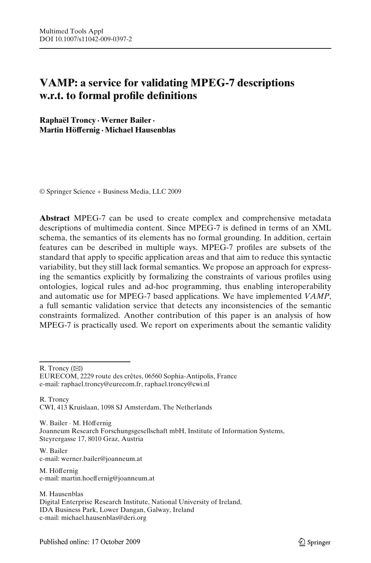# **VAMP: a service for validating MPEG-7 descriptions w.r.t. to formal profile definitions**

**Raphaël Troncy ·Werner Bailer· Martin Höffernig · Michael Hausenblas**

© Springer Science + Business Media, LLC 2009

**Abstract** MPEG-7 can be used to create complex and comprehensive metadata descriptions of multimedia content. Since MPEG-7 is defined in terms of an XML schema, the semantics of its elements has no formal grounding. In addition, certain features can be described in multiple ways. MPEG-7 profiles are subsets of the standard that apply to specific application areas and that aim to reduce this syntactic variability, but they still lack formal semantics. We propose an approach for expressing the semantics explicitly by formalizing the constraints of various profiles using ontologies, logical rules and ad-hoc programming, thus enabling interoperability and automatic use for MPEG-7 based applications. We have implemented *VAMP*, a full semantic validation service that detects any inconsistencies of the semantic constraints formalized. Another contribution of this paper is an analysis of how MPEG-7 is practically used. We report on experiments about the semantic validity

R. Troncy  $(\boxtimes)$ 

R. Troncy CWI, 413 Kruislaan, 1098 SJ Amsterdam, The Netherlands

W. Bailer · M. Höffernig Joanneum Research Forschungsgesellschaft mbH, Institute of Information Systems, Steyrergasse 17, 8010 Graz, Austria

W. Bailer e-mail: werner.bailer@joanneum.at

M. Höffernig e-mail: martin.hoeffernig@joanneum.at

M. Hausenblas Digital Enterprise Research Institute, National University of Ireland, IDA Business Park, Lower Dangan, Galway, Ireland e-mail: michael.hausenblas@deri.org

EURECOM, 2229 route des crêtes, 06560 Sophia-Antipolis, France e-mail: raphael.troncy@eurecom.fr, raphael.troncy@cwi.nl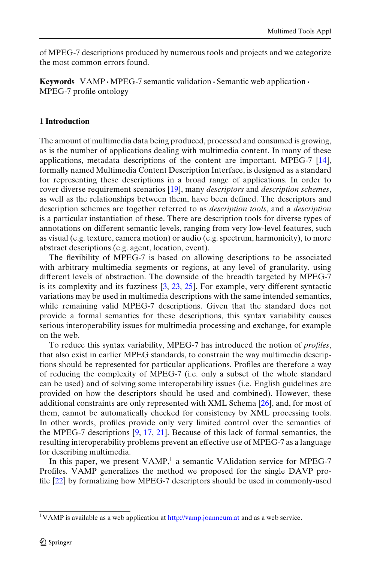of MPEG-7 descriptions produced by numerous tools and projects and we categorize the most common errors found.

**Keywords** VAMP **·** MPEG-7 semantic validation **·** Semantic web application **·** MPEG-7 profile ontology

# **1 Introduction**

The amount of multimedia data being produced, processed and consumed is growing, as is the number of applications dealing with multimedia content. In many of these applications, metadata descriptions of the content are important. MPEG-7 [\[14](#page-19-0)], formally named Multimedia Content Description Interface, is designed as a standard for representing these descriptions in a broad range of applications. In order to cover diverse requirement scenarios [\[19](#page-19-0)], many *descriptors* and *description schemes*, as well as the relationships between them, have been defined. The descriptors and description schemes are together referred to as *description tools*, and a *description* is a particular instantiation of these. There are description tools for diverse types of annotations on different semantic levels, ranging from very low-level features, such as visual (e.g. texture, camera motion) or audio (e.g. spectrum, harmonicity), to more abstract descriptions (e.g. agent, location, event).

The flexibility of MPEG-7 is based on allowing descriptions to be associated with arbitrary multimedia segments or regions, at any level of granularity, using different levels of abstraction. The downside of the breadth targeted by MPEG-7 is its complexity and its fuzziness  $[3, 23, 25]$  $[3, 23, 25]$  $[3, 23, 25]$  $[3, 23, 25]$  $[3, 23, 25]$  $[3, 23, 25]$ . For example, very different syntactic variations may be used in multimedia descriptions with the same intended semantics, while remaining valid MPEG-7 descriptions. Given that the standard does not provide a formal semantics for these descriptions, this syntax variability causes serious interoperability issues for multimedia processing and exchange, for example on the web.

To reduce this syntax variability, MPEG-7 has introduced the notion of *profiles*, that also exist in earlier MPEG standards, to constrain the way multimedia descriptions should be represented for particular applications. Profiles are therefore a way of reducing the complexity of MPEG-7 (i.e. only a subset of the whole standard can be used) and of solving some interoperability issues (i.e. English guidelines are provided on how the descriptors should be used and combined). However, these additional constraints are only represented with XML Schema [\[26\]](#page-20-0), and, for most of them, cannot be automatically checked for consistency by XML processing tools. In other words, profiles provide only very limited control over the semantics of the MPEG-7 descriptions [\[9,](#page-19-0) [17,](#page-19-0) [21](#page-19-0)]. Because of this lack of formal semantics, the resulting interoperability problems prevent an effective use of MPEG-7 as a language for describing multimedia.

In this paper, we present  $VAMP<sup>1</sup>$  a semantic VAlidation service for MPEG-7 Profiles. VAMP generalizes the method we proposed for the single DAVP profile [\[22\]](#page-19-0) by formalizing how MPEG-7 descriptors should be used in commonly-used

<sup>&</sup>lt;sup>1</sup>VAMP is available as a web application at <http://vamp.joanneum.at> and as a web service.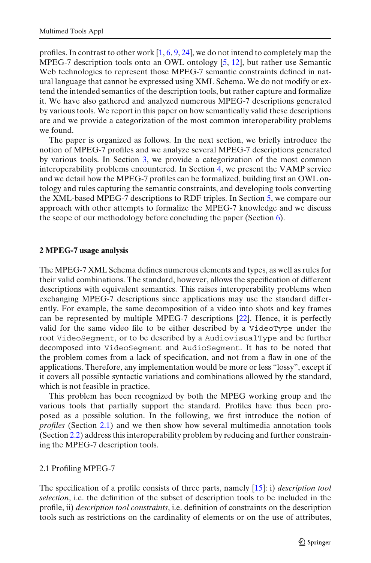profiles. In contrast to other work  $[1, 6, 9, 24]$  $[1, 6, 9, 24]$  $[1, 6, 9, 24]$  $[1, 6, 9, 24]$  $[1, 6, 9, 24]$  $[1, 6, 9, 24]$  $[1, 6, 9, 24]$ , we do not intend to completely map the MPEG-7 description tools onto an OWL ontology [\[5,](#page-19-0) [12\]](#page-19-0), but rather use Semantic Web technologies to represent those MPEG-7 semantic constraints defined in natural language that cannot be expressed using XML Schema. We do not modify or extend the intended semantics of the description tools, but rather capture and formalize it. We have also gathered and analyzed numerous MPEG-7 descriptions generated by various tools. We report in this paper on how semantically valid these descriptions are and we provide a categorization of the most common interoperability problems we found.

The paper is organized as follows. In the next section, we briefly introduce the notion of MPEG-7 profiles and we analyze several MPEG-7 descriptions generated by various tools. In Section [3,](#page-6-0) we provide a categorization of the most common interoperability problems encountered. In Section [4,](#page-10-0) we present the VAMP service and we detail how the MPEG-7 profiles can be formalized, building first an OWL ontology and rules capturing the semantic constraints, and developing tools converting the XML-based MPEG-7 descriptions to RDF triples. In Section [5,](#page-16-0) we compare our approach with other attempts to formalize the MPEG-7 knowledge and we discuss the scope of our methodology before concluding the paper (Section  $6$ ).

#### **2 MPEG-7 usage analysis**

The MPEG-7 XML Schema defines numerous elements and types, as well as rules for their valid combinations. The standard, however, allows the specification of different descriptions with equivalent semantics. This raises interoperability problems when exchanging MPEG-7 descriptions since applications may use the standard differently. For example, the same decomposition of a video into shots and key frames can be represented by multiple MPEG-7 descriptions [\[22\]](#page-19-0). Hence, it is perfectly valid for the same video file to be either described by a VideoType under the root VideoSegment, or to be described by a AudiovisualType and be further decomposed into VideoSegment and AudioSegment. It has to be noted that the problem comes from a lack of specification, and not from a flaw in one of the applications. Therefore, any implementation would be more or less "lossy", except if it covers all possible syntactic variations and combinations allowed by the standard, which is not feasible in practice.

This problem has been recognized by both the MPEG working group and the various tools that partially support the standard. Profiles have thus been proposed as a possible solution. In the following, we first introduce the notion of *profiles* (Section 2.1) and we then show how several multimedia annotation tools (Section [2.2\)](#page-5-0) address this interoperability problem by reducing and further constraining the MPEG-7 description tools.

#### 2.1 Profiling MPEG-7

The specification of a profile consists of three parts, namely [\[15](#page-19-0)]: i) *description tool selection*, i.e. the definition of the subset of description tools to be included in the profile, ii) *description tool constraints*, i.e. definition of constraints on the description tools such as restrictions on the cardinality of elements or on the use of attributes,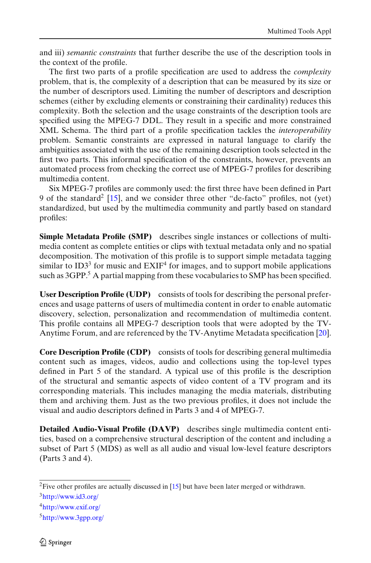and iii) *semantic constraints* that further describe the use of the description tools in the context of the profile.

The first two parts of a profile specification are used to address the *complexity* problem, that is, the complexity of a description that can be measured by its size or the number of descriptors used. Limiting the number of descriptors and description schemes (either by excluding elements or constraining their cardinality) reduces this complexity. Both the selection and the usage constraints of the description tools are specified using the MPEG-7 DDL. They result in a specific and more constrained XML Schema. The third part of a profile specification tackles the *interoperability* problem. Semantic constraints are expressed in natural language to clarify the ambiguities associated with the use of the remaining description tools selected in the first two parts. This informal specification of the constraints, however, prevents an automated process from checking the correct use of MPEG-7 profiles for describing multimedia content.

Six MPEG-7 profiles are commonly used: the first three have been defined in Part 9 of the standard<sup>2</sup> [\[15\]](#page-19-0), and we consider three other "de-facto" profiles, not (yet) standardized, but used by the multimedia community and partly based on standard profiles:

**Simple Metadata Profile (SMP)** describes single instances or collections of multimedia content as complete entities or clips with textual metadata only and no spatial decomposition. The motivation of this profile is to support simple metadata tagging similar to ID3<sup>3</sup> for music and  $EXIF<sup>4</sup>$  for images, and to support mobile applications such as  $3GPP<sup>5</sup>$  A partial mapping from these vocabularies to SMP has been specified.

**User Description Profile (UDP)** consists of tools for describing the personal preferences and usage patterns of users of multimedia content in order to enable automatic discovery, selection, personalization and recommendation of multimedia content. This profile contains all MPEG-7 description tools that were adopted by the TV-Anytime Forum, and are referenced by the TV-Anytime Metadata specification [\[20](#page-19-0)].

**Core Description Profile (CDP)** consists of tools for describing general multimedia content such as images, videos, audio and collections using the top-level types defined in Part 5 of the standard. A typical use of this profile is the description of the structural and semantic aspects of video content of a TV program and its corresponding materials. This includes managing the media materials, distributing them and archiving them. Just as the two previous profiles, it does not include the visual and audio descriptors defined in Parts 3 and 4 of MPEG-7.

**Detailed Audio-Visual Profile (DAVP)** describes single multimedia content entities, based on a comprehensive structural description of the content and including a subset of Part 5 (MDS) as well as all audio and visual low-level feature descriptors (Parts 3 and 4).

<sup>&</sup>lt;sup>2</sup>Five other profiles are actually discussed in  $[15]$  but have been later merged or withdrawn.

[<sup>3</sup>http://www.id3.org/](http://www.id3.org/)

[<sup>4</sup>http://www.exif.org/](http://www.exif.org/)

[<sup>5</sup>http://www.3gpp.org/](http://www.3gpp.org/)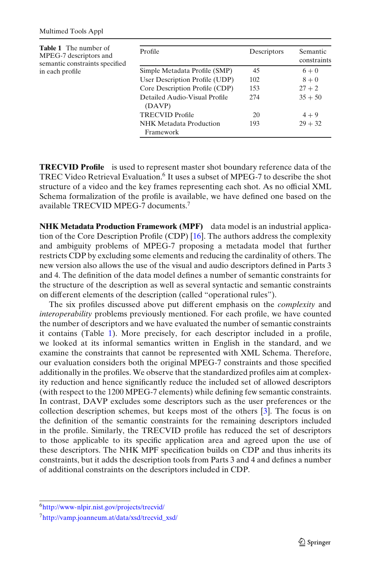| <b>Table 1</b> The number of<br>MPEG-7 descriptors and<br>semantic constraints specified<br>in each profile | Profile                                 | Descriptors | Semantic<br>constraints |
|-------------------------------------------------------------------------------------------------------------|-----------------------------------------|-------------|-------------------------|
|                                                                                                             | Simple Metadata Profile (SMP)           | 45          | $6 + 0$                 |
|                                                                                                             | User Description Profile (UDP)          | 102         | $8 + 0$                 |
|                                                                                                             | Core Description Profile (CDP)          | 153         | $27 + 2$                |
|                                                                                                             | Detailed Audio-Visual Profile<br>(DAVP) | 274         | $35 + 50$               |
|                                                                                                             | <b>TRECVID Profile</b>                  | 20          | $4 + 9$                 |
|                                                                                                             | <b>NHK</b> Metadata Production          | 193         | $29 + 32$               |
|                                                                                                             | Framework                               |             |                         |

**TRECVID Profile** is used to represent master shot boundary reference data of the TREC Video Retrieval Evaluation.<sup>6</sup> It uses a subset of MPEG-7 to describe the shot structure of a video and the key frames representing each shot. As no official XML Schema formalization of the profile is available, we have defined one based on the available TRECVID MPEG-7 documents.7

**NHK Metadata Production Framework (MPF)** data model is an industrial application of the Core Description Profile (CDP) [\[16](#page-19-0)]. The authors address the complexity and ambiguity problems of MPEG-7 proposing a metadata model that further restricts CDP by excluding some elements and reducing the cardinality of others. The new version also allows the use of the visual and audio descriptors defined in Parts 3 and 4. The definition of the data model defines a number of semantic constraints for the structure of the description as well as several syntactic and semantic constraints on different elements of the description (called "operational rules").

The six profiles discussed above put different emphasis on the *complexity* and *interoperability* problems previously mentioned. For each profile, we have counted the number of descriptors and we have evaluated the number of semantic constraints it contains (Table 1). More precisely, for each descriptor included in a profile, we looked at its informal semantics written in English in the standard, and we examine the constraints that cannot be represented with XML Schema. Therefore, our evaluation considers both the original MPEG-7 constraints and those specified additionally in the profiles. We observe that the standardized profiles aim at complexity reduction and hence significantly reduce the included set of allowed descriptors (with respect to the 1200 MPEG-7 elements) while defining few semantic constraints. In contrast, DAVP excludes some descriptors such as the user preferences or the collection description schemes, but keeps most of the others [\[3\]](#page-19-0). The focus is on the definition of the semantic constraints for the remaining descriptors included in the profile. Similarly, the TRECVID profile has reduced the set of descriptors to those applicable to its specific application area and agreed upon the use of these descriptors. The NHK MPF specification builds on CDP and thus inherits its constraints, but it adds the description tools from Parts 3 and 4 and defines a number of additional constraints on the descriptors included in CDP.

[<sup>6</sup>http://www-nlpir.nist.gov/projects/trecvid/](http://www-nlpir.nist.gov/projects/trecvid/)

[<sup>7</sup>http://vamp.joanneum.at/data/xsd/trecvid\\_xsd/](http://vamp.joanneum.at/data/xsd/trecvid_xsd/)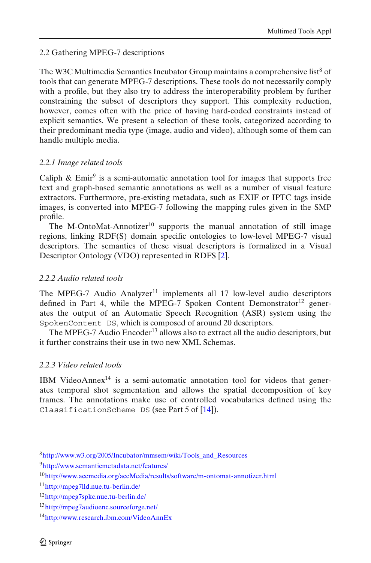# <span id="page-5-0"></span>2.2 Gathering MPEG-7 descriptions

The W3C Multimedia Semantics Incubator Group maintains a comprehensive list<sup>8</sup> of tools that can generate MPEG-7 descriptions. These tools do not necessarily comply with a profile, but they also try to address the interoperability problem by further constraining the subset of descriptors they support. This complexity reduction, however, comes often with the price of having hard-coded constraints instead of explicit semantics. We present a selection of these tools, categorized according to their predominant media type (image, audio and video), although some of them can handle multiple media.

# *2.2.1 Image related tools*

Caliph & Emir<sup>9</sup> is a semi-automatic annotation tool for images that supports free text and graph-based semantic annotations as well as a number of visual feature extractors. Furthermore, pre-existing metadata, such as EXIF or IPTC tags inside images, is converted into MPEG-7 following the mapping rules given in the SMP profile.

The M-OntoMat-Annotizer<sup>10</sup> supports the manual annotation of still image regions, linking RDF(S) domain specific ontologies to low-level MPEG-7 visual descriptors. The semantics of these visual descriptors is formalized in a Visual Descriptor Ontology (VDO) represented in RDFS [\[2](#page-19-0)].

# *2.2.2 Audio related tools*

The MPEG-7 Audio Analyzer<sup>11</sup> implements all 17 low-level audio descriptors defined in Part 4, while the MPEG-7 Spoken Content Demonstrator<sup>12</sup> generates the output of an Automatic Speech Recognition (ASR) system using the SpokenContent DS, which is composed of around 20 descriptors.

The MPEG-7 Audio Encoder<sup>13</sup> allows also to extract all the audio descriptors, but it further constrains their use in two new XML Schemas.

# *2.2.3 Video related tools*

IBM VideoAnne $x^{14}$  is a semi-automatic annotation tool for videos that generates temporal shot segmentation and allows the spatial decomposition of key frames. The annotations make use of controlled vocabularies defined using the ClassificationScheme DS (see Part 5 of [\[14\]](#page-19-0)).

[<sup>8</sup>http://www.w3.org/2005/Incubator/mmsem/wiki/Tools\\_and\\_Resources](http://www.w3.org/2005/Incubator/mmsem/wiki/Tools_and_Resources)

[<sup>9</sup>http://www.semanticmetadata.net/features/](http://www.semanticmetadata.net/features/)

<sup>1</sup>[0http://www.acemedia.org/aceMedia/results/software/m-ontomat-annotizer.html](http://www.acemedia.org/aceMedia/results/software/m-ontomat-annotizer.html)

<sup>1</sup>[1http://mpeg7lld.nue.tu-berlin.de/](http://mpeg7lld.nue.tu-berlin.de/)

<sup>1</sup>[2http://mpeg7spkc.nue.tu-berlin.de/](http://mpeg7spkc.nue.tu-berlin.de/)

<sup>1</sup>[3http://mpeg7audioenc.sourceforge.net/](http://mpeg7audioenc.sourceforge.net/)

<sup>1</sup>[4http://www.research.ibm.com/VideoAnnEx](http://www.research.ibm.com/VideoAnnEx)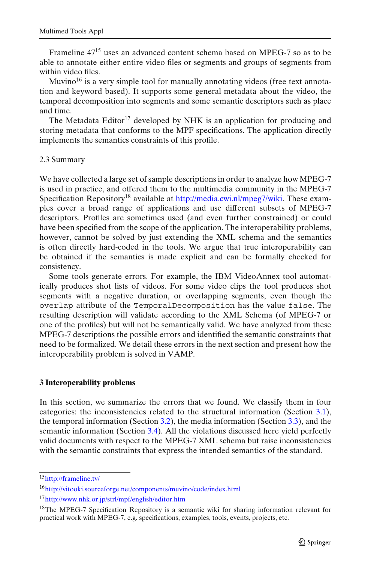<span id="page-6-0"></span>Frameline 47<sup>15</sup> uses an advanced content schema based on MPEG-7 so as to be able to annotate either entire video files or segments and groups of segments from within video files.

Muvino<sup>16</sup> is a very simple tool for manually annotating videos (free text annotation and keyword based). It supports some general metadata about the video, the temporal decomposition into segments and some semantic descriptors such as place and time.

The Metadata Editor<sup>17</sup> developed by NHK is an application for producing and storing metadata that conforms to the MPF specifications. The application directly implements the semantics constraints of this profile.

#### 2.3 Summary

We have collected a large set of sample descriptions in order to analyze how MPEG-7 is used in practice, and offered them to the multimedia community in the MPEG-7 Specification Repository<sup>18</sup> available at [http://media.cwi.nl/mpeg7/wiki.](http://media.cwi.nl/mpeg7/wiki) These examples cover a broad range of applications and use different subsets of MPEG-7 descriptors. Profiles are sometimes used (and even further constrained) or could have been specified from the scope of the application. The interoperability problems, however, cannot be solved by just extending the XML schema and the semantics is often directly hard-coded in the tools. We argue that true interoperability can be obtained if the semantics is made explicit and can be formally checked for consistency.

Some tools generate errors. For example, the IBM VideoAnnex tool automatically produces shot lists of videos. For some video clips the tool produces shot segments with a negative duration, or overlapping segments, even though the overlap attribute of the TemporalDecomposition has the value false. The resulting description will validate according to the XML Schema (of MPEG-7 or one of the profiles) but will not be semantically valid. We have analyzed from these MPEG-7 descriptions the possible errors and identified the semantic constraints that need to be formalized. We detail these errors in the next section and present how the interoperability problem is solved in VAMP.

#### **3 Interoperability problems**

In this section, we summarize the errors that we found. We classify them in four categories: the inconsistencies related to the structural information (Section [3.1\)](#page-7-0), the temporal information (Section [3.2\)](#page-7-0), the media information (Section [3.3\)](#page-9-0), and the semantic information (Section [3.4\)](#page-9-0). All the violations discussed here yield perfectly valid documents with respect to the MPEG-7 XML schema but raise inconsistencies with the semantic constraints that express the intended semantics of the standard.

<sup>1</sup>[5http://frameline.tv/](http://frameline.tv/)

<sup>1</sup>[6http://vitooki.sourceforge.net/components/muvino/code/index.html](http://vitooki.sourceforge.net/components/muvino/code/index.html)

<sup>1</sup>[7http://www.nhk.or.jp/strl/mpf/english/editor.htm](http://www.nhk.or.jp/strl/mpf/english/editor.htm)

<sup>&</sup>lt;sup>18</sup>The MPEG-7 Specification Repository is a semantic wiki for sharing information relevant for practical work with MPEG-7, e.g. specifications, examples, tools, events, projects, etc.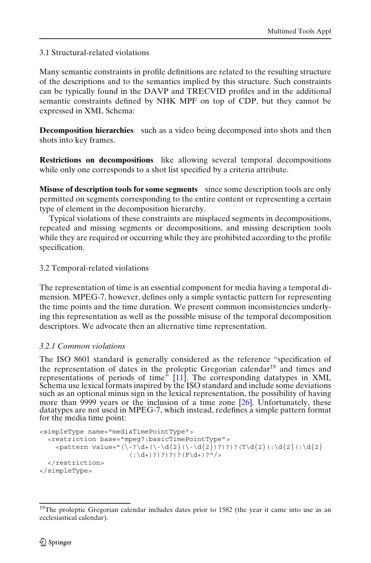# <span id="page-7-0"></span>3.1 Structural-related violations

Many semantic constraints in profile definitions are related to the resulting structure of the descriptions and to the semantics implied by this structure. Such constraints can be typically found in the DAVP and TRECVID profiles and in the additional semantic constraints defined by NHK MPF on top of CDP, but they cannot be expressed in XML Schema:

**Decomposition hierarchies** such as a video being decomposed into shots and then shots into key frames.

**Restrictions on decompositions** like allowing several temporal decompositions while only one corresponds to a shot list specified by a criteria attribute.

**Misuse of description tools for some segments** since some description tools are only permitted on segments corresponding to the entire content or representing a certain type of element in the decomposition hierarchy.

Typical violations of these constraints are misplaced segments in decompositions, repeated and missing segments or decompositions, and missing description tools while they are required or occurring while they are prohibited according to the profile specification.

# 3.2 Temporal-related violations

The representation of time is an essential component for media having a temporal dimension. MPEG-7, however, defines only a simple syntactic pattern for representing the time points and the time duration. We present common inconsistencies underlying this representation as well as the possible misuse of the temporal decomposition descriptors. We advocate then an alternative time representation.

# *3.2.1 Common violations*

The ISO 8601 standard is generally considered as the reference "specification of the representation of dates in the proleptic Gregorian calendar<sup>19</sup> and times and representations of periods of time" [\[11\]](#page-19-0). The corresponding datatypes in XML Schema use lexical formats inspired by the ISO standard and include some deviations such as an optional minus sign in the lexical representation, the possibility of having more than 9999 years or the inclusion of a time zone [\[26\]](#page-20-0). Unfortunately, these datatypes are not used in MPEG-7, which instead, redefines a simple pattern format for the media time point:

```
<simpleType name="mediaTimePointType">
  <restriction base="mpeg7:basicTimePointType">
    \zeta <pattern value="(\-?\d+(\-\d{2}(\-\d{2})?)?)?(T\d{2}(:\d{2}(:\d{2}(:\d{2}
                         (\cdot \ d_{+}) ?)?)?(F\ d_{+})?"/>
  </restriction>
</simpleType>
```
<sup>&</sup>lt;sup>19</sup>The proleptic Gregorian calendar includes dates prior to 1582 (the year it came into use as an ecclesiastical calendar).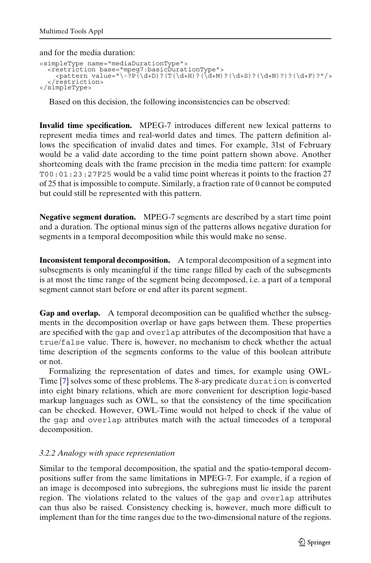and for the media duration:

```
<simpleType name="mediaDurationType">
     <restriction base="mpeg7:basicDurationType">
           \leftarrow \leftarrow \leftarrow \leftarrow \leftarrow \leftarrow \leftarrow \leftarrow \leftarrow \leftarrow \leftarrow \leftarrow \leftarrow \leftarrow \leftarrow \leftarrow \leftarrow \leftarrow \leftarrow \leftarrow \leftarrow \leftarrow \leftarrow \leftarrow \leftarrow \leftarrow \leftarrow \leftarrow \leftarrow \leftarrow \leftarrow \leftarrow \leftarrow \leftarrow \leftarrow \leftarrow \leftarrow</restriction>
</simpleType>
```
Based on this decision, the following inconsistencies can be observed:

**Invalid time specification.** MPEG-7 introduces different new lexical patterns to represent media times and real-world dates and times. The pattern definition allows the specification of invalid dates and times. For example, 31st of February would be a valid date according to the time point pattern shown above. Another shortcoming deals with the frame precision in the media time pattern: for example T00:01:23:27F25 would be a valid time point whereas it points to the fraction 27 of 25 that is impossible to compute. Similarly, a fraction rate of 0 cannot be computed but could still be represented with this pattern.

**Negative segment duration.** MPEG-7 segments are described by a start time point and a duration. The optional minus sign of the patterns allows negative duration for segments in a temporal decomposition while this would make no sense.

**Inconsistent temporal decomposition.** A temporal decomposition of a segment into subsegments is only meaningful if the time range filled by each of the subsegments is at most the time range of the segment being decomposed, i.e. a part of a temporal segment cannot start before or end after its parent segment.

Gap and overlap. A temporal decomposition can be qualified whether the subsegments in the decomposition overlap or have gaps between them. These properties are specified with the gap and overlap attributes of the decomposition that have a true/false value. There is, however, no mechanism to check whether the actual time description of the segments conforms to the value of this boolean attribute or not.

Formalizing the representation of dates and times, for example using OWL-Time [\[7\]](#page-19-0) solves some of these problems. The 8-ary predicate duration is converted into eight binary relations, which are more convenient for description logic-based markup languages such as OWL, so that the consistency of the time specification can be checked. However, OWL-Time would not helped to check if the value of the gap and overlap attributes match with the actual timecodes of a temporal decomposition.

#### *3.2.2 Analogy with space representation*

Similar to the temporal decomposition, the spatial and the spatio-temporal decompositions suffer from the same limitations in MPEG-7. For example, if a region of an image is decomposed into subregions, the subregions must lie inside the parent region. The violations related to the values of the gap and overlap attributes can thus also be raised. Consistency checking is, however, much more difficult to implement than for the time ranges due to the two-dimensional nature of the regions.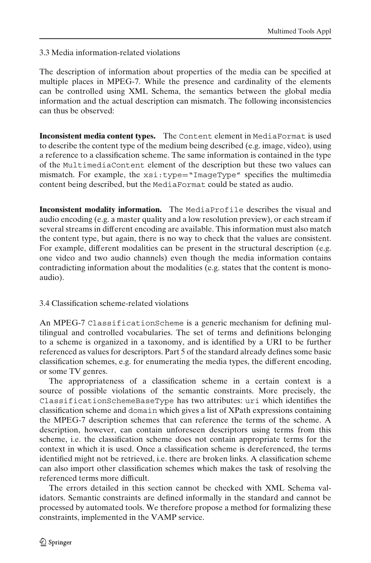## <span id="page-9-0"></span>3.3 Media information-related violations

The description of information about properties of the media can be specified at multiple places in MPEG-7. While the presence and cardinality of the elements can be controlled using XML Schema, the semantics between the global media information and the actual description can mismatch. The following inconsistencies can thus be observed:

**Inconsistent media content types.** The Content element in MediaFormat is used to describe the content type of the medium being described (e.g. image, video), using a reference to a classification scheme. The same information is contained in the type of the MultimediaContent element of the description but these two values can mismatch. For example, the xsi:type="ImageType" specifies the multimedia content being described, but the MediaFormat could be stated as audio.

**Inconsistent modality information.** The MediaProfile describes the visual and audio encoding (e.g. a master quality and a low resolution preview), or each stream if several streams in different encoding are available. This information must also match the content type, but again, there is no way to check that the values are consistent. For example, different modalities can be present in the structural description (e.g. one video and two audio channels) even though the media information contains contradicting information about the modalities (e.g. states that the content is monoaudio).

## 3.4 Classification scheme-related violations

An MPEG-7 ClassificationScheme is a generic mechanism for defining multilingual and controlled vocabularies. The set of terms and definitions belonging to a scheme is organized in a taxonomy, and is identified by a URI to be further referenced as values for descriptors. Part 5 of the standard already defines some basic classification schemes, e.g. for enumerating the media types, the different encoding, or some TV genres.

The appropriateness of a classification scheme in a certain context is a source of possible violations of the semantic constraints. More precisely, the ClassificationSchemeBaseType has two attributes: uri which identifies the classification scheme and domain which gives a list of XPath expressions containing the MPEG-7 description schemes that can reference the terms of the scheme. A description, however, can contain unforeseen descriptors using terms from this scheme, i.e. the classification scheme does not contain appropriate terms for the context in which it is used. Once a classification scheme is dereferenced, the terms identified might not be retrieved, i.e. there are broken links. A classification scheme can also import other classification schemes which makes the task of resolving the referenced terms more difficult.

The errors detailed in this section cannot be checked with XML Schema validators. Semantic constraints are defined informally in the standard and cannot be processed by automated tools. We therefore propose a method for formalizing these constraints, implemented in the VAMP service.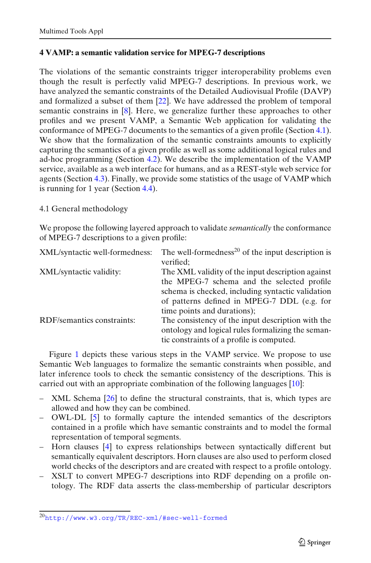## <span id="page-10-0"></span>**4 VAMP: a semantic validation service for MPEG-7 descriptions**

The violations of the semantic constraints trigger interoperability problems even though the result is perfectly valid MPEG-7 descriptions. In previous work, we have analyzed the semantic constraints of the Detailed Audiovisual Profile (DAVP) and formalized a subset of them [\[22](#page-19-0)]. We have addressed the problem of temporal semantic constrains in [\[8\]](#page-19-0). Here, we generalize further these approaches to other profiles and we present VAMP, a Semantic Web application for validating the conformance of MPEG-7 documents to the semantics of a given profile (Section 4.1). We show that the formalization of the semantic constraints amounts to explicitly capturing the semantics of a given profile as well as some additional logical rules and ad-hoc programming (Section [4.2\)](#page-12-0). We describe the implementation of the VAMP service, available as a web interface for humans, and as a REST-style web service for agents (Section [4.3\)](#page-14-0). Finally, we provide some statistics of the usage of VAMP which is running for 1 year (Section [4.4\)](#page-16-0).

## 4.1 General methodology

We propose the following layered approach to validate *semantically* the conformance of MPEG-7 descriptions to a given profile:

| XML/syntactic well-formedness: | The well-formedness <sup>20</sup> of the input description is<br>verified:                                                                                                                                                        |
|--------------------------------|-----------------------------------------------------------------------------------------------------------------------------------------------------------------------------------------------------------------------------------|
| XML/syntactic validity:        | The XML validity of the input description against<br>the MPEG-7 schema and the selected profile<br>schema is checked, including syntactic validation                                                                              |
| RDF/semantics constraints:     | of patterns defined in MPEG-7 DDL (e.g. for<br>time points and durations);<br>The consistency of the input description with the<br>ontology and logical rules formalizing the seman-<br>tic constraints of a profile is computed. |

Figure [1](#page-11-0) depicts these various steps in the VAMP service. We propose to use Semantic Web languages to formalize the semantic constraints when possible, and later inference tools to check the semantic consistency of the descriptions. This is carried out with an appropriate combination of the following languages [\[10](#page-19-0)]:

- XML Schema  $[26]$  to define the structural constraints, that is, which types are allowed and how they can be combined.
- OWL-DL [\[5\]](#page-19-0) to formally capture the intended semantics of the descriptors contained in a profile which have semantic constraints and to model the formal representation of temporal segments.
- Horn clauses [\[4\]](#page-19-0) to express relationships between syntactically different but semantically equivalent descriptors. Horn clauses are also used to perform closed world checks of the descriptors and are created with respect to a profile ontology.
- XSLT to convert MPEG-7 descriptions into RDF depending on a profile ontology. The RDF data asserts the class-membership of particular descriptors

<sup>20</sup><http://www.w3.org/TR/REC-xml/#sec-well-formed>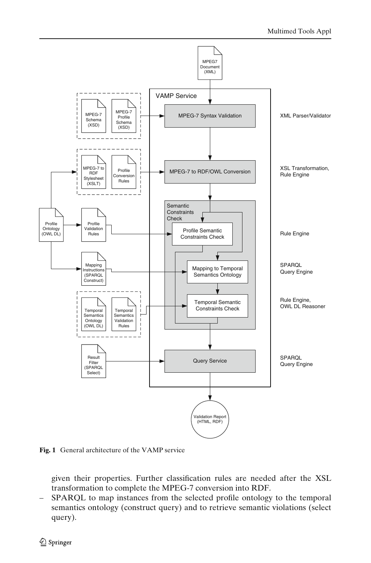<span id="page-11-0"></span>

**Fig. 1** General architecture of the VAMP service

given their properties. Further classification rules are needed after the XSL transformation to complete the MPEG-7 conversion into RDF.

– SPARQL to map instances from the selected profile ontology to the temporal semantics ontology (construct query) and to retrieve semantic violations (select query).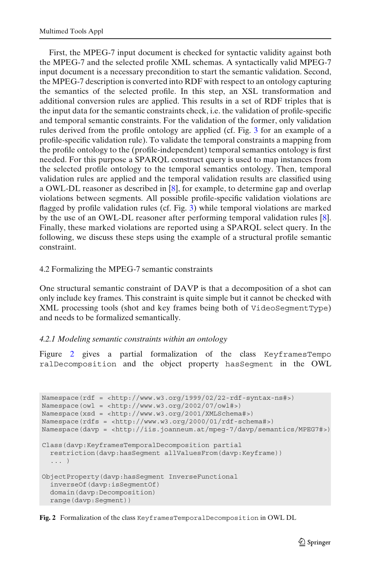<span id="page-12-0"></span>First, the MPEG-7 input document is checked for syntactic validity against both the MPEG-7 and the selected profile XML schemas. A syntactically valid MPEG-7 input document is a necessary precondition to start the semantic validation. Second, the MPEG-7 description is converted into RDF with respect to an ontology capturing the semantics of the selected profile. In this step, an XSL transformation and additional conversion rules are applied. This results in a set of RDF triples that is the input data for the semantic constraints check, i.e. the validation of profile-specific and temporal semantic constraints. For the validation of the former, only validation rules derived from the profile ontology are applied (cf. Fig. [3](#page-13-0) for an example of a profile-specific validation rule). To validate the temporal constraints a mapping from the profile ontology to the (profile-independent) temporal semantics ontology is first needed. For this purpose a SPARQL construct query is used to map instances from the selected profile ontology to the temporal semantics ontology. Then, temporal validation rules are applied and the temporal validation results are classified using a OWL-DL reasoner as described in [\[8\]](#page-19-0), for example, to determine gap and overlap violations between segments. All possible profile-specific validation violations are flagged by profile validation rules (cf. Fig. [3\)](#page-13-0) while temporal violations are marked by the use of an OWL-DL reasoner after performing temporal validation rules [\[8](#page-19-0)]. Finally, these marked violations are reported using a SPARQL select query. In the following, we discuss these steps using the example of a structural profile semantic constraint.

# 4.2 Formalizing the MPEG-7 semantic constraints

One structural semantic constraint of DAVP is that a decomposition of a shot can only include key frames. This constraint is quite simple but it cannot be checked with XML processing tools (shot and key frames being both of VideoSegmentType) and needs to be formalized semantically.

## *4.2.1 Modeling semantic constraints within an ontology*

Figure 2 gives a partial formalization of the class KeyframesTempo ralDecomposition and the object property hasSegment in the OWL

```
Namespace(rdf = <http://www.w3.org/1999/02/22-rdf-syntax-ns#>)
Namespace(owl = <http://www.w3.org/2002/07/owl#>)
Namespace(xsd = <http://www.w3.org/2001/XMLSchema#>)
Namespace(rdfs = <http://www.w3.org/2000/01/rdf-schema#>)
Namespace(davp = <http://iis.joanneum.at/mpeg-7/davp/semantics/MPEG7#>)
Class(davp:KeyframesTemporalDecomposition partial
  restriction(davp:hasSegment allValuesFrom(davp:Keyframe))
  ... )
ObjectProperty(davp:hasSegment InverseFunctional
  inverseOf(davp:isSegmentOf)
  domain(davp:Decomposition)
  range(davp:Segment))
```
**Fig. 2** Formalization of the class KeyframesTemporalDecomposition in OWL DL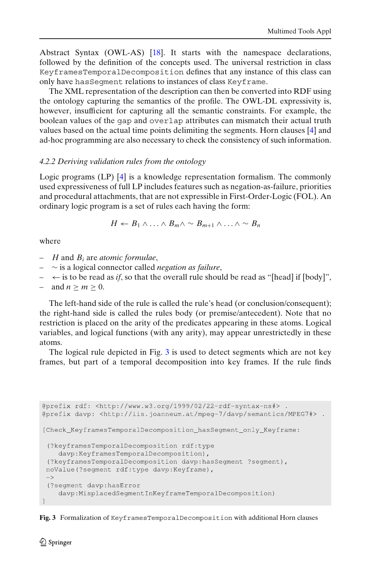<span id="page-13-0"></span>Abstract Syntax (OWL-AS) [\[18](#page-19-0)]. It starts with the namespace declarations, followed by the definition of the concepts used. The universal restriction in class KeyframesTemporalDecomposition defines that any instance of this class can only have hasSegment relations to instances of class Keyframe.

The XML representation of the description can then be converted into RDF using the ontology capturing the semantics of the profile. The OWL-DL expressivity is, however, insufficient for capturing all the semantic constraints. For example, the boolean values of the gap and overlap attributes can mismatch their actual truth values based on the actual time points delimiting the segments. Horn clauses [\[4\]](#page-19-0) and ad-hoc programming are also necessary to check the consistency of such information.

#### *4.2.2 Deriving validation rules from the ontology*

Logic programs (LP) [\[4](#page-19-0)] is a knowledge representation formalism. The commonly used expressiveness of full LP includes features such as negation-as-failure, priorities and procedural attachments, that are not expressible in First-Order-Logic (FOL). An ordinary logic program is a set of rules each having the form:

$$
H \leftarrow B_1 \wedge \ldots \wedge B_m \wedge \sim B_{m+1} \wedge \ldots \wedge \sim B_n
$$

where

- *H* and *Bi* are *atomic formulae*,
- ∼ is a logical connector called *negation as failure*,
- ← is to be read as *if*, so that the overall rule should be read as "[head] if [body]",

$$
- \quad \text{and } n \ge m \ge 0.
$$

The left-hand side of the rule is called the rule's head (or conclusion/consequent); the right-hand side is called the rules body (or premise/antecedent). Note that no restriction is placed on the arity of the predicates appearing in these atoms. Logical variables, and logical functions (with any arity), may appear unrestrictedly in these atoms.

The logical rule depicted in Fig.  $3$  is used to detect segments which are not key frames, but part of a temporal decomposition into key frames. If the rule finds

```
@prefix rdf: <http://www.w3.org/1999/02/22-rdf-syntax-ns#> .
@prefix davp: <http://iis.joanneum.at/mpeg-7/davp/semantics/MPEG7#>
[Check_KeyframesTemporalDecomposition_hasSeqment_only_Keyframe:
 (?keyframesTemporalDecomposition rdf:type
    davp:KeyframesTemporalDecomposition),
 (?keyframesTemporalDecomposition davp:hasSeqment ?seqment),
noValue(?segment rdf:type davp:Keyframe),
->\,(?segment davp:hasError
    davp:MisplacedSeqmentInKeyframeTemporalDecomposition)
```
**Fig. 3** Formalization of KeyframesTemporalDecomposition with additional Horn clauses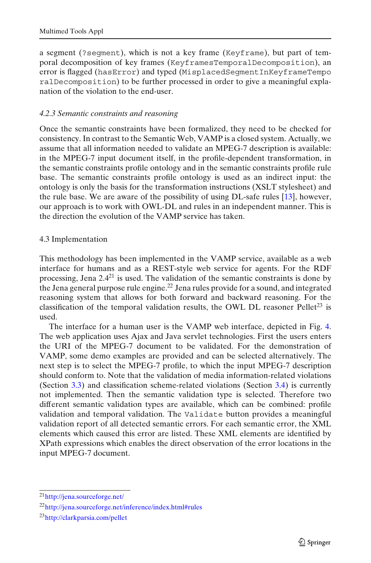<span id="page-14-0"></span>a segment (?segment), which is not a key frame (Keyframe), but part of temporal decomposition of key frames (KeyframesTemporalDecomposition), an error is flagged (hasError) and typed (MisplacedSegmentInKeyframeTempo ralDecomposition) to be further processed in order to give a meaningful explanation of the violation to the end-user.

# *4.2.3 Semantic constraints and reasoning*

Once the semantic constraints have been formalized, they need to be checked for consistency. In contrast to the Semantic Web, VAMP is a closed system. Actually, we assume that all information needed to validate an MPEG-7 description is available: in the MPEG-7 input document itself, in the profile-dependent transformation, in the semantic constraints profile ontology and in the semantic constraints profile rule base. The semantic constraints profile ontology is used as an indirect input: the ontology is only the basis for the transformation instructions (XSLT stylesheet) and the rule base. We are aware of the possibility of using DL-safe rules [\[13](#page-19-0)], however, our approach is to work with OWL-DL and rules in an independent manner. This is the direction the evolution of the VAMP service has taken.

## 4.3 Implementation

This methodology has been implemented in the VAMP service, available as a web interface for humans and as a REST-style web service for agents. For the RDF processing, Jena  $2.4^{21}$  is used. The validation of the semantic constraints is done by the Jena general purpose rule engine.<sup>22</sup> Jena rules provide for a sound, and integrated reasoning system that allows for both forward and backward reasoning. For the classification of the temporal validation results, the OWL DL reasoner Pellet<sup>23</sup> is used.

The interface for a human user is the VAMP web interface, depicted in Fig. [4.](#page-15-0) The web application uses Ajax and Java servlet technologies. First the users enters the URI of the MPEG-7 document to be validated. For the demonstration of VAMP, some demo examples are provided and can be selected alternatively. The next step is to select the MPEG-7 profile, to which the input MPEG-7 description should conform to. Note that the validation of media information-related violations (Section [3.3\)](#page-9-0) and classification scheme-related violations (Section [3.4\)](#page-9-0) is currently not implemented. Then the semantic validation type is selected. Therefore two different semantic validation types are available, which can be combined: profile validation and temporal validation. The Validate button provides a meaningful validation report of all detected semantic errors. For each semantic error, the XML elements which caused this error are listed. These XML elements are identified by XPath expressions which enables the direct observation of the error locations in the input MPEG-7 document.

<sup>2</sup>[1http://jena.sourceforge.net/](http://jena.sourceforge.net/)

<sup>2</sup>[2http://jena.sourceforge.net/inference/index.html#rules](http://jena.sourceforge.net/inference/index.html#rules)

<sup>2</sup>[3http://clarkparsia.com/pellet](http://clarkparsia.com/pellet)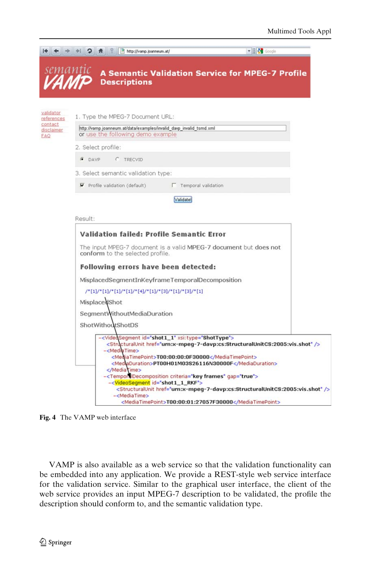<span id="page-15-0"></span>

**Fig. 4** The VAMP web interface

VAMP is also available as a web service so that the validation functionality can be embedded into any application. We provide a REST-style web service interface for the validation service. Similar to the graphical user interface, the client of the web service provides an input MPEG-7 description to be validated, the profile the description should conform to, and the semantic validation type.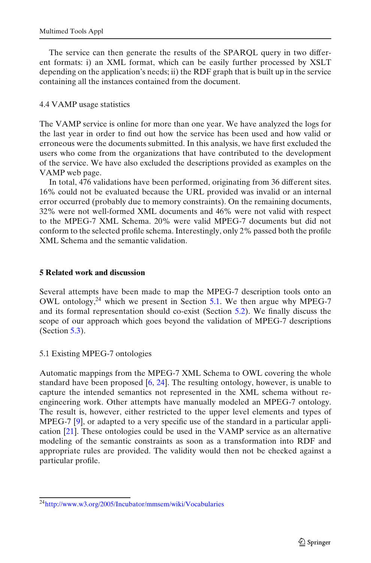<span id="page-16-0"></span>The service can then generate the results of the SPARQL query in two different formats: i) an XML format, which can be easily further processed by XSLT depending on the application's needs; ii) the RDF graph that is built up in the service containing all the instances contained from the document.

# 4.4 VAMP usage statistics

The VAMP service is online for more than one year. We have analyzed the logs for the last year in order to find out how the service has been used and how valid or erroneous were the documents submitted. In this analysis, we have first excluded the users who come from the organizations that have contributed to the development of the service. We have also excluded the descriptions provided as examples on the VAMP web page.

In total, 476 validations have been performed, originating from 36 different sites. 16% could not be evaluated because the URL provided was invalid or an internal error occurred (probably due to memory constraints). On the remaining documents, 32% were not well-formed XML documents and 46% were not valid with respect to the MPEG-7 XML Schema. 20% were valid MPEG-7 documents but did not conform to the selected profile schema. Interestingly, only 2% passed both the profile XML Schema and the semantic validation.

# **5 Related work and discussion**

Several attempts have been made to map the MPEG-7 description tools onto an OWL ontology,<sup>24</sup> which we present in Section 5.1. We then argue why MPEG-7 and its formal representation should co-exist (Section [5.2\)](#page-17-0). We finally discuss the scope of our approach which goes beyond the validation of MPEG-7 descriptions (Section  $5.3$ ).

# 5.1 Existing MPEG-7 ontologies

Automatic mappings from the MPEG-7 XML Schema to OWL covering the whole standard have been proposed  $[6, 24]$  $[6, 24]$  $[6, 24]$  $[6, 24]$ . The resulting ontology, however, is unable to capture the intended semantics not represented in the XML schema without reengineering work. Other attempts have manually modeled an MPEG-7 ontology. The result is, however, either restricted to the upper level elements and types of MPEG-7 [\[9](#page-19-0)], or adapted to a very specific use of the standard in a particular application [\[21\]](#page-19-0). These ontologies could be used in the VAMP service as an alternative modeling of the semantic constraints as soon as a transformation into RDF and appropriate rules are provided. The validity would then not be checked against a particular profile.

<sup>2</sup>[4http://www.w3.org/2005/Incubator/mmsem/wiki/Vocabularies](http://www.w3.org/2005/Incubator/mmsem/wiki/Vocabularies)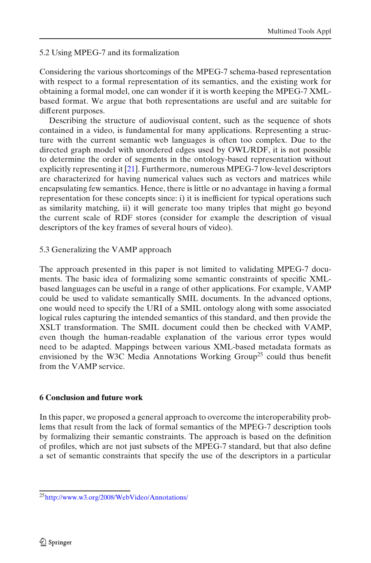# <span id="page-17-0"></span>5.2 Using MPEG-7 and its formalization

Considering the various shortcomings of the MPEG-7 schema-based representation with respect to a formal representation of its semantics, and the existing work for obtaining a formal model, one can wonder if it is worth keeping the MPEG-7 XMLbased format. We argue that both representations are useful and are suitable for different purposes.

Describing the structure of audiovisual content, such as the sequence of shots contained in a video, is fundamental for many applications. Representing a structure with the current semantic web languages is often too complex. Due to the directed graph model with unordered edges used by OWL/RDF, it is not possible to determine the order of segments in the ontology-based representation without explicitly representing it [\[21](#page-19-0)]. Furthermore, numerous MPEG-7 low-level descriptors are characterized for having numerical values such as vectors and matrices while encapsulating few semantics. Hence, there is little or no advantage in having a formal representation for these concepts since: i) it is inefficient for typical operations such as similarity matching, ii) it will generate too many triples that might go beyond the current scale of RDF stores (consider for example the description of visual descriptors of the key frames of several hours of video).

# 5.3 Generalizing the VAMP approach

The approach presented in this paper is not limited to validating MPEG-7 documents. The basic idea of formalizing some semantic constraints of specific XMLbased languages can be useful in a range of other applications. For example, VAMP could be used to validate semantically SMIL documents. In the advanced options, one would need to specify the URI of a SMIL ontology along with some associated logical rules capturing the intended semantics of this standard, and then provide the XSLT transformation. The SMIL document could then be checked with VAMP, even though the human-readable explanation of the various error types would need to be adapted. Mappings between various XML-based metadata formats as envisioned by the W3C Media Annotations Working Group<sup>25</sup> could thus benefit from the VAMP service.

## **6 Conclusion and future work**

In this paper, we proposed a general approach to overcome the interoperability problems that result from the lack of formal semantics of the MPEG-7 description tools by formalizing their semantic constraints. The approach is based on the definition of profiles, which are not just subsets of the MPEG-7 standard, but that also define a set of semantic constraints that specify the use of the descriptors in a particular

<sup>2</sup>[5http://www.w3.org/2008/WebVideo/Annotations/](http://www.w3.org/2008/WebVideo/Annotations/)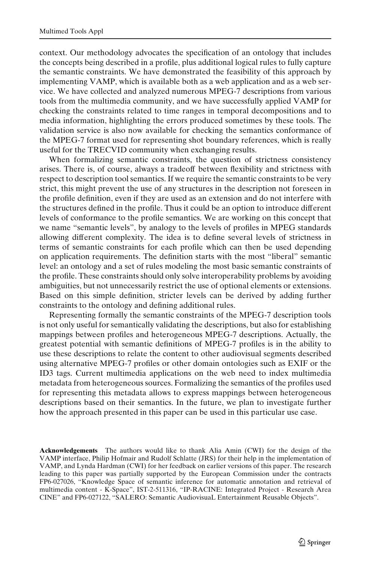context. Our methodology advocates the specification of an ontology that includes the concepts being described in a profile, plus additional logical rules to fully capture the semantic constraints. We have demonstrated the feasibility of this approach by implementing VAMP, which is available both as a web application and as a web service. We have collected and analyzed numerous MPEG-7 descriptions from various tools from the multimedia community, and we have successfully applied VAMP for checking the constraints related to time ranges in temporal decompositions and to media information, highlighting the errors produced sometimes by these tools. The validation service is also now available for checking the semantics conformance of the MPEG-7 format used for representing shot boundary references, which is really useful for the TRECVID community when exchanging results.

When formalizing semantic constraints, the question of strictness consistency arises. There is, of course, always a tradeoff between flexibility and strictness with respect to description tool semantics. If we require the semantic constraints to be very strict, this might prevent the use of any structures in the description not foreseen in the profile definition, even if they are used as an extension and do not interfere with the structures defined in the profile. Thus it could be an option to introduce different levels of conformance to the profile semantics. We are working on this concept that we name "semantic levels", by analogy to the levels of profiles in MPEG standards allowing different complexity. The idea is to define several levels of strictness in terms of semantic constraints for each profile which can then be used depending on application requirements. The definition starts with the most "liberal" semantic level: an ontology and a set of rules modeling the most basic semantic constraints of the profile. These constraints should only solve interoperability problems by avoiding ambiguities, but not unnecessarily restrict the use of optional elements or extensions. Based on this simple definition, stricter levels can be derived by adding further constraints to the ontology and defining additional rules.

Representing formally the semantic constraints of the MPEG-7 description tools is not only useful for semantically validating the descriptions, but also for establishing mappings between profiles and heterogeneous MPEG-7 descriptions. Actually, the greatest potential with semantic definitions of MPEG-7 profiles is in the ability to use these descriptions to relate the content to other audiovisual segments described using alternative MPEG-7 profiles or other domain ontologies such as EXIF or the ID3 tags. Current multimedia applications on the web need to index multimedia metadata from heterogeneous sources. Formalizing the semantics of the profiles used for representing this metadata allows to express mappings between heterogeneous descriptions based on their semantics. In the future, we plan to investigate further how the approach presented in this paper can be used in this particular use case.

**Acknowledgements** The authors would like to thank Alia Amin (CWI) for the design of the VAMP interface, Philip Hofmair and Rudolf Schlatte (JRS) for their help in the implementation of VAMP, and Lynda Hardman (CWI) for her feedback on earlier versions of this paper. The research leading to this paper was partially supported by the European Commission under the contracts FP6-027026, "Knowledge Space of semantic inference for automatic annotation and retrieval of multimedia content - K-Space", IST-2-511316, "IP-RACINE: Integrated Project - Research Area CINE" and FP6-027122, "SALERO: Semantic AudiovisuaL Entertainment Reusable Objects".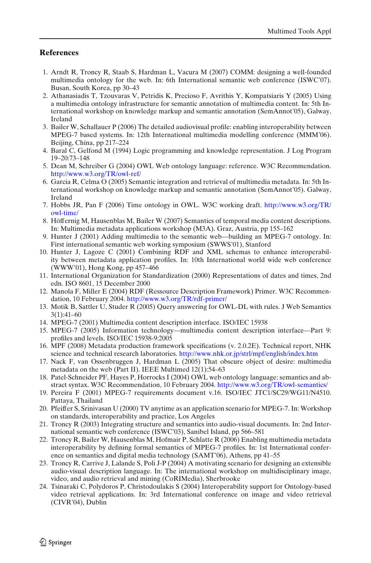#### <span id="page-19-0"></span>**References**

- 1. Arndt R, Troncy R, Staab S, Hardman L, Vacura M (2007) COMM: designing a well-founded multimedia ontology for the web. In: 6th International semantic web conference (ISWC'07). Busan, South Korea, pp 30–43
- 2. Athanasiadis T, Tzouvaras V, Petridis K, Precioso F, Avrithis Y, Kompatsiaris Y (2005) Using a multimedia ontology infrastructure for semantic annotation of multimedia content. In: 5th International workshop on knowledge markup and semantic annotation (SemAnnot'05), Galway, Ireland
- 3. Bailer W, Schallauer P (2006) The detailed audiovisual profile: enabling interoperability between MPEG-7 based systems. In: 12th International multimedia modelling conference (MMM'06). Beijing, China, pp 217–224
- 4. Baral C, Gelfond M (1994) Logic programming and knowledge representation. J Log Program 19–20:73–148
- 5. Dean M, Schreiber G (2004) OWL Web ontology language: reference. W3C Recommendation. <http://www.w3.org/TR/owl-ref/>
- 6. Garcia R, Celma O (2005) Semantic integration and retrieval of multimedia metadata. In: 5th International workshop on knowledge markup and semantic annotation (SemAnnot'05). Galway, Ireland
- 7. Hobbs JR, Pan F (2006) Time ontology in OWL. W3C working draft. [http://www.w3.org/TR/](http://www.w3.org/TR/owl-time/) [owl-time/](http://www.w3.org/TR/owl-time/)
- 8. Höffernig M, Hausenblas M, Bailer W (2007) Semantics of temporal media content descriptions. In: Multimedia metadata applications workshop (M3A). Graz, Austria, pp 155–162
- 9. Hunter J (2001) Adding multimedia to the semantic web—building an MPEG-7 ontology. In: First international semantic web working symposium (SWWS'01), Stanford
- 10. Hunter J, Lagoze C (2001) Combining RDF and XML schemas to enhance interoperability between metadata application profiles. In: 10th International world wide web conference (WWW'01), Hong Kong, pp 457–466
- 11. International Organization for Standardization (2000) Representations of dates and times, 2nd edn. ISO 8601, 15 December 2000
- 12. Manola F, Miller E (2004) RDF (Ressource Description Framework) Primer. W3C Recommendation, 10 February 2004. <http://www.w3.org/TR/rdf-primer/>
- 13. Motik B, Sattler U, Studer R (2005) Query answering for OWL-DL with rules. J Web Semantics 3(1):41–60
- 14. MPEG-7 (2001) Multimedia content description interface. ISO/IEC 15938
- 15. MPEG-7 (2005) Information technology—multimedia content description interface—Part 9: profiles and levels. ISO/IEC 15938-9:2005
- 16. MPF (2008) Metadata production framework specifications (v. 2.0.2E). Technical report, NHK science and technical research laboratories. <http://www.nhk.or.jp/strl/mpf/english/index.htm>
- 17. Nack F, van Ossenbruggen J, Hardman L (2005) That obscure object of desire: multimedia metadata on the web (Part II). IEEE Multimed 12(1):54–63
- 18. Patel-Schneider PF, Hayes P, Horrocks I (2004) OWL web ontology language: semantics and abstract syntax. W3C Recommendation, 10 February 2004. <http://www.w3.org/TR/owl-semantics/>
- 19. Pereira F (2001) MPEG-7 requirements document v.16. ISO/IEC JTC1/SC29/WG11/N4510. Pattaya, Thailand
- 20. Pfeiffer S, Srinivasan U (2000) TV anytime as an application scenario for MPEG-7. In: Workshop on standards, interoperability and practice, Los Angeles
- 21. Troncy R (2003) Integrating structure and semantics into audio-visual documents. In: 2nd International semantic web conference (ISWC'03), Sanibel Island, pp 566–581
- 22. Troncy R, Bailer W, Hausenblas M, Hofmair P, Schlatte R (2006) Enabling multimedia metadata interoperability by defining formal semantics of MPEG-7 profiles. In: 1st International conference on semantics and digital media technology (SAMT'06), Athens, pp 41–55
- 23. Troncy R, Carrive J, Lalande S, Poli J-P (2004) A motivating scenario for designing an extensible audio-visual description language. In: The international workshop on multidisciplinary image, video, and audio retrieval and mining (CoRIMedia), Sherbrooke
- 24. Tsinaraki C, Polydoros P, Christodoulakis S (2004) Interoperability support for Ontology-based video retrieval applications. In: 3rd International conference on image and video retrieval (CIVR'04), Dublin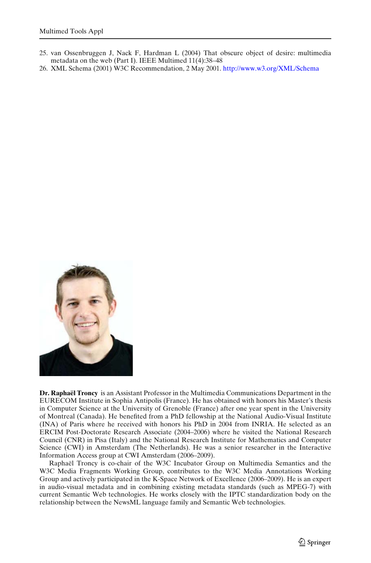- <span id="page-20-0"></span>25. van Ossenbruggen J, Nack F, Hardman L (2004) That obscure object of desire: multimedia metadata on the web (Part I). IEEE Multimed 11(4):38–48
- 26. XML Schema (2001) W3C Recommendation, 2 May 2001. <http://www.w3.org/XML/Schema>



**Dr. Raphaël Troncy** is an Assistant Professor in the Multimedia Communications Department in the EURECOM Institute in Sophia Antipolis (France). He has obtained with honors his Master's thesis in Computer Science at the University of Grenoble (France) after one year spent in the University of Montreal (Canada). He benefited from a PhD fellowship at the National Audio-Visual Institute (INA) of Paris where he received with honors his PhD in 2004 from INRIA. He selected as an ERCIM Post-Doctorate Research Associate (2004–2006) where he visited the National Research Council (CNR) in Pisa (Italy) and the National Research Institute for Mathematics and Computer Science (CWI) in Amsterdam (The Netherlands). He was a senior researcher in the Interactive Information Access group at CWI Amsterdam (2006–2009).

Raphaël Troncy is co-chair of the W3C Incubator Group on Multimedia Semantics and the W3C Media Fragments Working Group, contributes to the W3C Media Annotations Working Group and actively participated in the K-Space Network of Excellence (2006–2009). He is an expert in audio-visual metadata and in combining existing metadata standards (such as MPEG-7) with current Semantic Web technologies. He works closely with the IPTC standardization body on the relationship between the NewsML language family and Semantic Web technologies.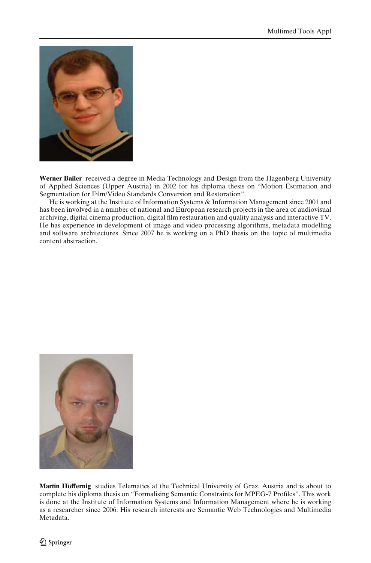

**Werner Bailer** received a degree in Media Technology and Design from the Hagenberg University of Applied Sciences (Upper Austria) in 2002 for his diploma thesis on "Motion Estimation and Segmentation for Film/Video Standards Conversion and Restoration".

He is working at the Institute of Information Systems & Information Management since 2001 and has been involved in a number of national and European research projects in the area of audiovisual archiving, digital cinema production, digital film restauration and quality analysis and interactive TV. He has experience in development of image and video processing algorithms, metadata modelling and software architectures. Since 2007 he is working on a PhD thesis on the topic of multimedia content abstraction.



**Martin Höffernig** studies Telematics at the Technical University of Graz, Austria and is about to complete his diploma thesis on "Formalising Semantic Constraints for MPEG-7 Profiles". This work is done at the Institute of Information Systems and Information Management where he is working as a researcher since 2006. His research interests are Semantic Web Technologies and Multimedia Metadata.